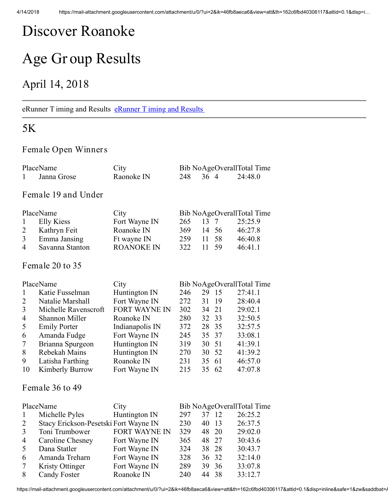# Discover Roanoke

# Age Gr oup Results

## April 14, 2018

#### [eRunner T iming and Results](http://www.erunner.biz/) eRunner T iming and Results

### 5K

#### Female Open Winners

| $\mathbf{1}$        | Janna Grose                           | Raonoke IN           | 248 | 36 4 |                | 24:48.0                    |  |  |
|---------------------|---------------------------------------|----------------------|-----|------|----------------|----------------------------|--|--|
| Female 19 and Under |                                       |                      |     |      |                |                            |  |  |
|                     | PlaceName                             | City                 |     |      |                | Bib NoAgeOverallTotal Time |  |  |
| $\mathbf{1}$        | <b>Elly Kiess</b>                     | Fort Wayne IN        | 265 | 13   | $\overline{7}$ | 25:25.9                    |  |  |
| $\overline{2}$      | Kathryn Feit                          | Roanoke IN           | 369 | 14   | 56             | 46:27.8                    |  |  |
| $\overline{3}$      | Emma Jansing                          | Ft wayne IN          | 259 | 11   | 58             | 46:40.8                    |  |  |
| $\overline{4}$      | Savanna Stanton                       | <b>ROANOKE IN</b>    | 322 | 11   | 59             | 46:41.1                    |  |  |
|                     | Female 20 to 35                       |                      |     |      |                |                            |  |  |
|                     | PlaceName                             | City                 |     |      |                | Bib NoAgeOverallTotal Time |  |  |
| $\mathbf{1}$        | Katie Fusselman                       | Huntington IN        | 246 | 29   | 15             | 27:41.1                    |  |  |
| $\overline{2}$      | Natalie Marshall                      | Fort Wayne IN        | 272 | 31   | 19             | 28:40.4                    |  |  |
| 3                   | Michelle Ravenscroft                  | <b>FORT WAYNE IN</b> | 302 | 34   | 21             | 29:02.1                    |  |  |
| $\overline{4}$      | Shannon Miller                        | Roanoke IN           | 280 | 32   | 33             | 32:50.5                    |  |  |
| 5                   | <b>Emily Porter</b>                   | Indianapolis IN      | 372 | 28   | 35             | 32:57.5                    |  |  |
| 6                   | Amanda Fudge                          | Fort Wayne IN        | 245 | 35   | 37             | 33:08.1                    |  |  |
| $\overline{7}$      | Brianna Spurgeon                      | Huntington IN        | 319 | 30   | 51             | 41:39.1                    |  |  |
| 8                   | Rebekah Mains                         | Huntington IN        | 270 | 30   | 52             | 41:39.2                    |  |  |
| 9                   | Latisha Farthing                      | Roanoke IN           | 231 | 35   | 61             | 46:57.0                    |  |  |
| 10                  | <b>Kimberly Burrow</b>                | Fort Wayne IN        | 215 | 35   | 62             | 47:07.8                    |  |  |
|                     | Female 36 to 49                       |                      |     |      |                |                            |  |  |
|                     | PlaceName                             | City                 |     |      |                | Bib NoAgeOverallTotal Time |  |  |
| 1                   | Michelle Pyles                        | Huntington IN        | 297 | 37   | 12             | 26:25.2                    |  |  |
| $\overline{2}$      | Stacy Erickson-Pesetski Fort Wayne IN |                      | 230 | 40   | 13             | 26:37.5                    |  |  |
| 3                   | Toni Trumbower                        | <b>FORT WAYNE IN</b> | 329 | 48   | 20             | 29:02.0                    |  |  |
| $\overline{4}$      | Caroline Chesney                      | Fort Wayne IN        | 365 | 48   | 27             | 30:43.6                    |  |  |
| 5                   | Dana Statler                          | Fort Wayne IN        | 324 | 38   | 28             | 30:43.7                    |  |  |
| 6                   | Amanda Treharn                        | Fort Wayne IN        | 328 | 36   | 32             | 32:14.0                    |  |  |
| 7                   | <b>Kristy Ottinger</b>                | Fort Wayne IN        | 289 | 39   | 36             | 33:07.8                    |  |  |
| 8                   | <b>Candy Foster</b>                   | Roanoke IN           | 240 | 44   | 38             | 33:12.7                    |  |  |

PlaceName City Bib NoAgeOverallTotal Time

https://mail-attachment.googleusercontent.com/attachment/u/0/?ui=2&ik=46fb8aeca6&view=att&th=162c6fbd40306117&attid=0.1&disp=inline&safe=1&zw&saddbat=/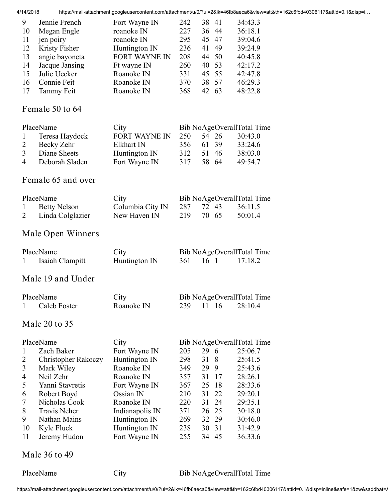| 4/14/2018               |                            |                      |     |                 |    | https://mail-attachment.googleusercontent.com/attachment/u/0/?ui=2&ik=46fb8aeca6&view=att&th=162c6fbd40306117&attid=0.1&disp=i |
|-------------------------|----------------------------|----------------------|-----|-----------------|----|--------------------------------------------------------------------------------------------------------------------------------|
| 9                       | Jennie French              | Fort Wayne IN        | 242 | 38 41           |    | 34:43.3                                                                                                                        |
| 10                      | Megan Engle                | roanoke IN           | 227 | 36 44           |    | 36:18.1                                                                                                                        |
| 11                      | jen poiry                  | roanoke IN           | 295 | 45              | 47 | 39:04.6                                                                                                                        |
| 12                      | Kristy Fisher              | Huntington IN        | 236 | 41              | 49 | 39:24.9                                                                                                                        |
| 13                      | angie bayoneta             | <b>FORT WAYNE IN</b> | 208 | 44              | 50 | 40:45.8                                                                                                                        |
| 14                      | Jacque Jansing             | Ft wayne IN          | 260 | 40              | 53 | 42:17.2                                                                                                                        |
| 15                      | Julie Uecker               | Roanoke IN           | 331 |                 | 55 |                                                                                                                                |
|                         |                            |                      |     | 45              |    | 42:47.8                                                                                                                        |
| 16                      | Connie Feit                | Roanoke IN           | 370 | 38 57           |    | 46:29.3                                                                                                                        |
| 17                      | Tammy Feit                 | Roanoke IN           | 368 | 42 63           |    | 48:22.8                                                                                                                        |
|                         | Female 50 to 64            |                      |     |                 |    |                                                                                                                                |
|                         | PlaceName                  | City                 |     |                 |    | Bib NoAgeOverallTotal Time                                                                                                     |
|                         |                            | <b>FORT WAYNE IN</b> | 250 | 54 26           |    | 30:43.0                                                                                                                        |
| 1                       | Teresa Haydock             |                      |     |                 |    |                                                                                                                                |
| $\overline{c}$          | Becky Zehr                 | Elkhart IN           | 356 | 61              | 39 | 33:24.6                                                                                                                        |
| $\overline{\mathbf{3}}$ | Diane Sheets               | Huntington IN        | 312 | 51              | 46 | 38:03.0                                                                                                                        |
| $\overline{4}$          | Deborah Sladen             | Fort Wayne IN        | 317 | 58 64           |    | 49:54.7                                                                                                                        |
|                         | Female 65 and over         |                      |     |                 |    |                                                                                                                                |
|                         |                            |                      |     |                 |    |                                                                                                                                |
|                         | PlaceName                  | City                 |     |                 |    | Bib NoAgeOverallTotal Time                                                                                                     |
| $\mathbf{1}$            | <b>Betty Nelson</b>        | Columbia City IN     | 287 | 72              | 43 | 36:11.5                                                                                                                        |
| $\overline{2}$          | Linda Colglazier           | New Haven IN         | 219 | 70 65           |    | 50:01.4                                                                                                                        |
|                         | Male Open Winners          |                      |     |                 |    |                                                                                                                                |
|                         |                            |                      |     |                 |    |                                                                                                                                |
|                         | PlaceName                  | City                 |     |                 |    | Bib NoAgeOverallTotal Time                                                                                                     |
| 1                       | Isaiah Clampitt            | Huntington IN        | 361 | 16 <sub>1</sub> |    | 17:18.2                                                                                                                        |
|                         | Male 19 and Under          |                      |     |                 |    |                                                                                                                                |
|                         |                            |                      |     |                 |    |                                                                                                                                |
|                         | PlaceName                  | City                 |     |                 |    | Bib NoAgeOverallTotal Time                                                                                                     |
| 1                       | Caleb Foster               | Roanoke IN           | 239 | 11 16           |    | 28:10.4                                                                                                                        |
|                         |                            |                      |     |                 |    |                                                                                                                                |
|                         | Male 20 to 35              |                      |     |                 |    |                                                                                                                                |
|                         | PlaceName                  | City                 |     |                 |    | Bib NoAgeOverallTotal Time                                                                                                     |
| 1                       | Zach Baker                 | Fort Wayne IN        | 205 | 29 6            |    | 25:06.7                                                                                                                        |
|                         |                            |                      | 298 | 31              | 8  |                                                                                                                                |
| 2                       | <b>Christopher Rakoczy</b> | Huntington IN        |     |                 |    | 25:41.5                                                                                                                        |
| 3                       | Mark Wiley                 | Roanoke IN           | 349 | 29              | 9  | 25:43.6                                                                                                                        |
| 4                       | Neil Zehr                  | Roanoke IN           | 357 | 31              | 17 | 28:26.1                                                                                                                        |
| 5                       | Yanni Stavretis            | Fort Wayne IN        | 367 | 25              | 18 | 28:33.6                                                                                                                        |
| 6                       | Robert Boyd                | Ossian IN            | 210 | 31              | 22 | 29:20.1                                                                                                                        |
| 7                       | Nicholas Cook              | Roanoke IN           | 220 | 31              | 24 | 29:35.1                                                                                                                        |
| 8                       | <b>Travis Neher</b>        | Indianapolis IN      | 371 | 26              | 25 | 30:18.0                                                                                                                        |
| 9                       | Nathan Mains               | Huntington IN        | 269 | 32              | 29 | 30:46.0                                                                                                                        |
| 10                      | Kyle Fluck                 | Huntington IN        | 238 | 30              | 31 | 31:42.9                                                                                                                        |
| 11                      | Jeremy Hudon               | Fort Wayne IN        | 255 | 34 45           |    | 36:33.6                                                                                                                        |
|                         |                            |                      |     |                 |    |                                                                                                                                |
|                         | Male 36 to 49              |                      |     |                 |    |                                                                                                                                |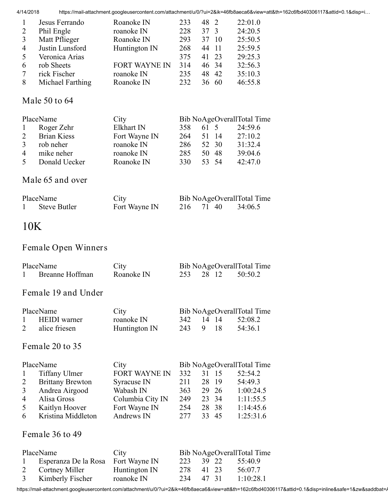4/14/2018 https://mail-attachment.googleusercontent.com/attachment/u/0/?ui=2&ik=46fb8aeca6&view=att&th=162c6fbd40306117&attid=0.1&disp=i…

|                          | Jesus Ferrando   | Roanoke IN           | 233 | 48 2      | 22:01.0 |
|--------------------------|------------------|----------------------|-----|-----------|---------|
| 2                        | Phil Engle       | roanoke IN           | 228 | 37 3      | 24:20.5 |
| 3                        | Matt Pflieger    | Roanoke IN           | 293 | 37<br>-10 | 25:50.5 |
| $\overline{4}$           | Justin Lunsford  | Huntington IN        | 268 | 44<br>11  | 25:59.5 |
| $\overline{\mathcal{L}}$ | Veronica Arias   |                      | 375 | 41 23     | 29:25.3 |
| 6                        | rob Sheets       | <b>FORT WAYNE IN</b> | 314 | 46 34     | 32:56.3 |
| 7                        | rick Fischer     | roanoke IN           | 235 | 42<br>48  | 35:10.3 |
| 8                        | Michael Farthing | Roanoke IN           | 232 | 36<br>60  | 46:55.8 |

#### Male 50 to 64

| PlaceName      |                    | City          |     |       | Bib NoAgeOverallTotal Time |
|----------------|--------------------|---------------|-----|-------|----------------------------|
| $\mathbf{1}$   | Roger Zehr         | Elkhart IN    | 358 | 61 5  | 24:59.6                    |
| 2              | <b>Brian Kiess</b> | Fort Wayne IN | 264 | 51 14 | 27:10.2                    |
| $\mathcal{E}$  | rob neher          | roanoke IN    | 286 | 52 30 | 31:32.4                    |
| $\overline{4}$ | mike neher         | roanoke IN    | 285 | 50 48 | 39:04.6                    |
| $\sim$         | Donald Uecker      | Roanoke IN    | 330 | 53 54 | 42:47.0                    |
|                |                    |               |     |       |                            |

### Male 65 and over

| PlaceName    | City          | Bib NoAgeOverallTotal Time |       |         |
|--------------|---------------|----------------------------|-------|---------|
| Steve Butler | Fort Wayne IN | 216                        | 71 40 | 34:06.5 |

## 10K

### Female Open Winners

| PlaceName       | City       |  | Bib NoAgeOverallTotal Time |
|-----------------|------------|--|----------------------------|
| Breanne Hoffman | Roanoke IN |  | 253 28 12 50:50.2          |

#### Female 19 and Under

| PlaceName |                 | City          |           |  | Bib NoAgeOverallTotal Time |
|-----------|-----------------|---------------|-----------|--|----------------------------|
|           | 1 HEIDI warner  | roanoke IN    | 342 14 14 |  | 52:08.2                    |
|           | 2 alice friesen | Huntington IN | 243 9 18  |  | 54:36.1                    |

### Female 20 to 35

| PlaceName      |                         | City                 |      |       | Bib NoAgeOverallTotal Time |
|----------------|-------------------------|----------------------|------|-------|----------------------------|
| $\mathbf{1}$   | Tiffany Ulmer           | <b>FORT WAYNE IN</b> | 332  | 31 15 | 52:54.2                    |
| 2              | <b>Brittany Brewton</b> | Syracuse IN          | 211  | 28 19 | 54:49.3                    |
| 3              | Andrea Airgood          | Wabash IN            | 363  | 29 26 | 1:00:24.5                  |
| $\overline{4}$ | Alisa Gross             | Columbia City IN     | 249  | 23 34 | 1:11:55.5                  |
| 5              | Kaitlyn Hoover          | Fort Wayne IN        | 254  | 28 38 | 1:14:45.6                  |
| -6             | Kristina Middleton      | Andrews IN           | 2.77 | 33 45 | 1:25:31.6                  |
|                |                         |                      |      |       |                            |

#### Female 36 to 49

|   | PlaceName                          | City          |     |       | Bib NoAgeOverallTotal Time |
|---|------------------------------------|---------------|-----|-------|----------------------------|
|   | Esperanza De la Rosa Fort Wayne IN |               | 223 | 39 22 | 55:40.9                    |
| 2 | Cortney Miller                     | Huntington IN | 278 | 41 23 | 56:07.7                    |
|   | 3 Kimberly Fischer                 | roanoke IN    | 234 | 47 31 | 1:10:28.1                  |

https://mail-attachment.googleusercontent.com/attachment/u/0/?ui=2&ik=46fb8aeca6&view=att&th=162c6fbd40306117&attid=0.1&disp=inline&safe=1&zw&saddbat=/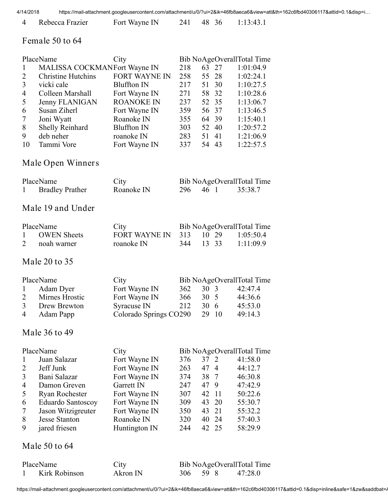|  | 4 Rebecca Frazier | Fort Wayne IN |  | 241 48 36 | 1:13:43.1 |
|--|-------------------|---------------|--|-----------|-----------|
|--|-------------------|---------------|--|-----------|-----------|

#### Female 50 to 64

| 1<br>$\overline{2}$<br>$\overline{3}$<br>4<br>5<br>6<br>7<br>8<br>9<br>10 | PlaceName<br>MALISSA COCKMANFort Wayne IN<br><b>Christine Hutchins</b><br>vicki cale<br>Colleen Marshall<br>Jenny FLANIGAN<br>Susan Ziherl<br>Joni Wyatt<br>Shelly Reinhard<br>deb neher<br>Tammi Vore | City<br><b>FORT WAYNE IN</b><br><b>Bluffton IN</b><br>Fort Wayne IN<br><b>ROANOKE IN</b><br>Fort Wayne IN<br>Roanoke IN<br><b>Bluffton IN</b><br>roanoke IN<br>Fort Wayne IN | 218<br>258<br>217<br>271<br>237<br>359<br>355<br>303<br>283<br>337 | 63<br>55<br>51<br>58<br>52<br>56<br>64<br>52<br>51 | 27<br>28<br>30<br>32<br>35<br>37<br>39<br>40<br>41<br>54 43 | Bib NoAgeOverallTotal Time<br>1:01:04.9<br>1:02:24.1<br>1:10:27.5<br>1:10:28.6<br>1:13:06.7<br>1:13:46.5<br>1:15:40.1<br>1:20:57.2<br>1:21:06.9<br>1:22:57.5 |
|---------------------------------------------------------------------------|--------------------------------------------------------------------------------------------------------------------------------------------------------------------------------------------------------|------------------------------------------------------------------------------------------------------------------------------------------------------------------------------|--------------------------------------------------------------------|----------------------------------------------------|-------------------------------------------------------------|--------------------------------------------------------------------------------------------------------------------------------------------------------------|
|                                                                           | Male Open Winners                                                                                                                                                                                      |                                                                                                                                                                              |                                                                    |                                                    |                                                             |                                                                                                                                                              |
| 1                                                                         | PlaceName<br><b>Bradley Prather</b><br>Male 19 and Under                                                                                                                                               | City<br>Roanoke IN                                                                                                                                                           | 296                                                                |                                                    | 46 1                                                        | Bib NoAgeOverallTotal Time<br>35:38.7                                                                                                                        |
| 1                                                                         | PlaceName<br><b>OWEN</b> Sheets                                                                                                                                                                        | City<br><b>FORT WAYNE IN</b>                                                                                                                                                 | 313                                                                |                                                    | 10 29                                                       | Bib NoAgeOverallTotal Time<br>1:05:50.4                                                                                                                      |
| $\overline{2}$                                                            | noah warner                                                                                                                                                                                            | roanoke IN                                                                                                                                                                   | 344                                                                |                                                    | 13 33                                                       | 1:11:09.9                                                                                                                                                    |
|                                                                           | Male 20 to 35                                                                                                                                                                                          |                                                                                                                                                                              |                                                                    |                                                    |                                                             |                                                                                                                                                              |
| $\mathbf{1}$<br>2<br>3<br>4                                               | PlaceName<br>Adam Dyer<br>Mirnes Hrostic<br>Drew Brewton<br>Adam Papp                                                                                                                                  | City<br>Fort Wayne IN<br>Fort Wayne IN<br>Syracuse IN<br>Colorado Springs CO290                                                                                              | 362<br>366<br>212                                                  | 30 3<br>30 5<br>$30 \t 6$<br>29                    | 10                                                          | Bib NoAgeOverallTotal Time<br>42:47.4<br>44:36.6<br>45:53.0<br>49:14.3                                                                                       |
|                                                                           | Male 36 to 49                                                                                                                                                                                          |                                                                                                                                                                              |                                                                    |                                                    |                                                             |                                                                                                                                                              |
| 1<br>2<br>3<br>4<br>5<br>6<br>$\overline{7}$<br>8<br>9                    | PlaceName<br>Juan Salazar<br>Jeff Junk<br>Bani Salazar<br>Damon Greven<br>Ryan Rochester<br>Eduardo Santoscoy<br>Jason Witzigreuter<br><b>Jesse Stanton</b><br>jared friesen                           | City<br>Fort Wayne IN<br>Fort Wayne IN<br>Fort Wayne IN<br>Garrett IN<br>Fort Wayne IN<br>Fort Wayne IN<br>Fort Wayne IN<br>Roanoke IN<br>Huntington IN                      | 376<br>263<br>374<br>247<br>307<br>309<br>350<br>320<br>244        | 37 2<br>47<br>38<br>47<br>42<br>43<br>43<br>40     | 4<br>7<br>9<br>11<br>20<br>21<br>24<br>42 25                | Bib NoAgeOverallTotal Time<br>41:58.0<br>44:12.7<br>46:30.8<br>47:42.9<br>50:22.6<br>55:30.7<br>55:32.2<br>57:40.3<br>58:29.9                                |
|                                                                           | Male 50 to 64                                                                                                                                                                                          |                                                                                                                                                                              |                                                                    |                                                    |                                                             |                                                                                                                                                              |

| PlaceName     | City     |          | Bib NoAgeOverallTotal Time |
|---------------|----------|----------|----------------------------|
| Kirk Robinson | Akron IN | 306 59 8 | 47:28.0                    |

https://mail-attachment.googleusercontent.com/attachment/u/0/?ui=2&ik=46fb8aeca6&view=att&th=162c6fbd40306117&attid=0.1&disp=inline&safe=1&zw&saddbat=/